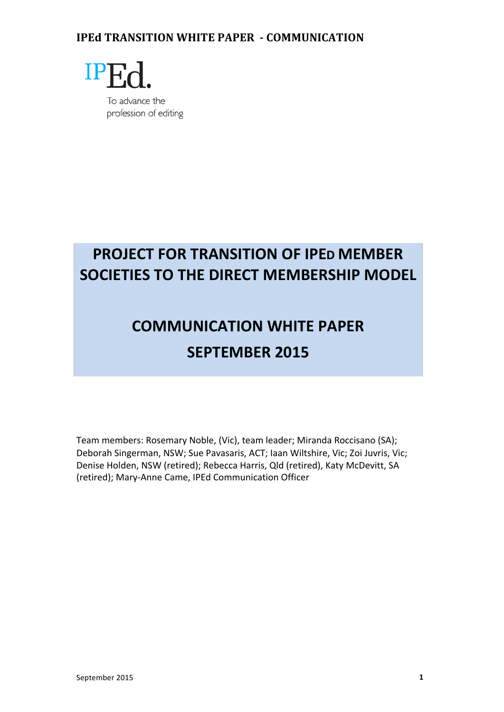

## **PROJECT FOR TRANSITION OF IPED MEMBER SOCIETIES TO THE DIRECT MEMBERSHIP MODEL**

# **COMMUNICATION WHITE PAPER SEPTEMBER 2015**

Team members: Rosemary Noble, (Vic), team leader; Miranda Roccisano (SA); Deborah Singerman, NSW; Sue Pavasaris, ACT; Iaan Wiltshire, Vic; Zoi Juvris, Vic; Denise Holden, NSW (retired); Rebecca Harris, Qld (retired), Katy McDevitt, SA (retired); Mary-Anne Came, IPEd Communication Officer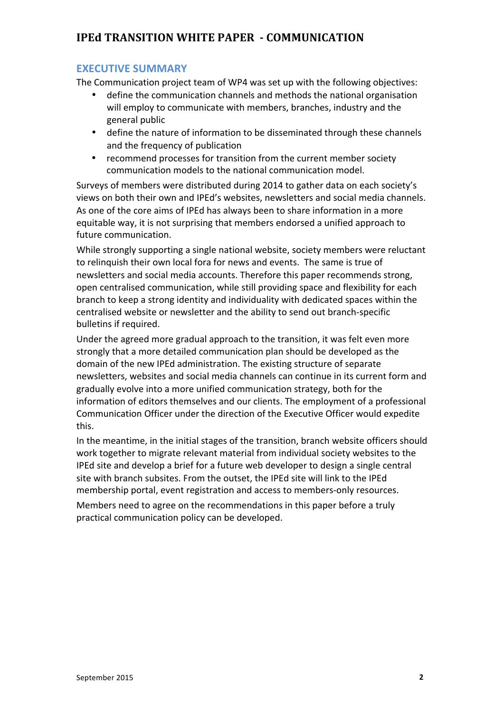#### **EXECUTIVE SUMMARY**

The Communication project team of WP4 was set up with the following objectives:

- define the communication channels and methods the national organisation will employ to communicate with members, branches, industry and the general public
- define the nature of information to be disseminated through these channels and the frequency of publication
- recommend processes for transition from the current member society communication models to the national communication model.

Surveys of members were distributed during 2014 to gather data on each society's views on both their own and IPEd's websites, newsletters and social media channels. As one of the core aims of IPEd has always been to share information in a more equitable way, it is not surprising that members endorsed a unified approach to future communication.

While strongly supporting a single national website, society members were reluctant to relinquish their own local fora for news and events. The same is true of newsletters and social media accounts. Therefore this paper recommends strong, open centralised communication, while still providing space and flexibility for each branch to keep a strong identity and individuality with dedicated spaces within the centralised website or newsletter and the ability to send out branch-specific bulletins if required.

Under the agreed more gradual approach to the transition, it was felt even more strongly that a more detailed communication plan should be developed as the domain of the new IPEd administration. The existing structure of separate newsletters, websites and social media channels can continue in its current form and gradually evolve into a more unified communication strategy, both for the information of editors themselves and our clients. The employment of a professional Communication Officer under the direction of the Executive Officer would expedite this.

In the meantime, in the initial stages of the transition, branch website officers should work together to migrate relevant material from individual society websites to the IPEd site and develop a brief for a future web developer to design a single central site with branch subsites. From the outset, the IPEd site will link to the IPEd membership portal, event registration and access to members-only resources.

Members need to agree on the recommendations in this paper before a truly practical communication policy can be developed.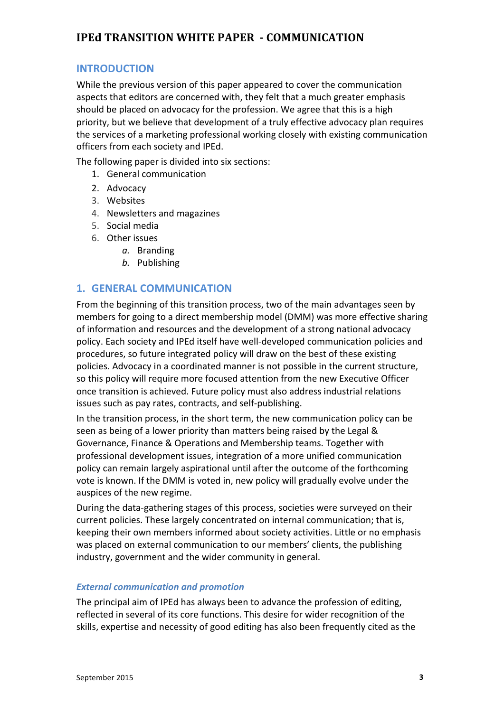## **INTRODUCTION**

While the previous version of this paper appeared to cover the communication aspects that editors are concerned with, they felt that a much greater emphasis should be placed on advocacy for the profession. We agree that this is a high priority, but we believe that development of a truly effective advocacy plan requires the services of a marketing professional working closely with existing communication officers from each society and IPEd.

The following paper is divided into six sections:

- 1. General communication
- 2. Advocacy
- 3. Websites
- 4. Newsletters and magazines
- 5. Social media
- 6. Other issues
	- *a.* Branding
	- *b.* Publishing

#### **1. GENERAL COMMUNICATION**

From the beginning of this transition process, two of the main advantages seen by members for going to a direct membership model (DMM) was more effective sharing of information and resources and the development of a strong national advocacy policy. Each society and IPEd itself have well-developed communication policies and procedures, so future integrated policy will draw on the best of these existing policies. Advocacy in a coordinated manner is not possible in the current structure, so this policy will require more focused attention from the new Executive Officer once transition is achieved. Future policy must also address industrial relations issues such as pay rates, contracts, and self-publishing.

In the transition process, in the short term, the new communication policy can be seen as being of a lower priority than matters being raised by the Legal & Governance, Finance & Operations and Membership teams. Together with professional development issues, integration of a more unified communication policy can remain largely aspirational until after the outcome of the forthcoming vote is known. If the DMM is voted in, new policy will gradually evolve under the auspices of the new regime.

During the data-gathering stages of this process, societies were surveyed on their current policies. These largely concentrated on internal communication; that is, keeping their own members informed about society activities. Little or no emphasis was placed on external communication to our members' clients, the publishing industry, government and the wider community in general.

#### **External communication and promotion**

The principal aim of IPEd has always been to advance the profession of editing, reflected in several of its core functions. This desire for wider recognition of the skills, expertise and necessity of good editing has also been frequently cited as the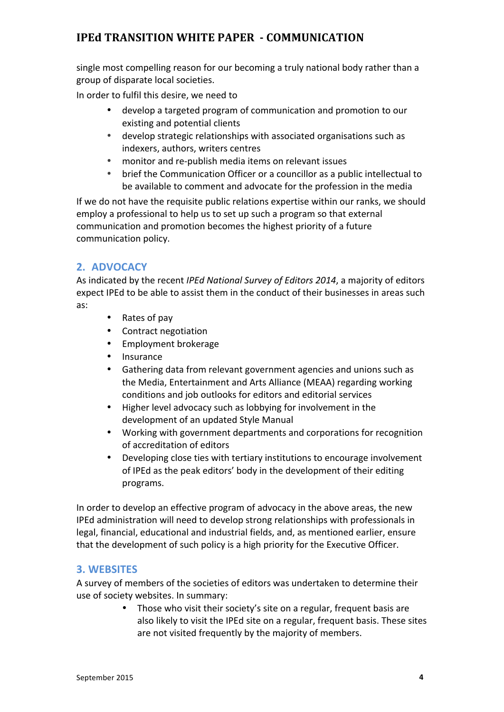single most compelling reason for our becoming a truly national body rather than a group of disparate local societies.

In order to fulfil this desire, we need to

- develop a targeted program of communication and promotion to our existing and potential clients
- develop strategic relationships with associated organisations such as indexers, authors, writers centres
- monitor and re-publish media items on relevant issues
- brief the Communication Officer or a councillor as a public intellectual to be available to comment and advocate for the profession in the media

If we do not have the requisite public relations expertise within our ranks, we should employ a professional to help us to set up such a program so that external communication and promotion becomes the highest priority of a future communication policy.

## **2. ADVOCACY**

As indicated by the recent *IPEd National Survey of Editors 2014*, a majority of editors expect IPEd to be able to assist them in the conduct of their businesses in areas such as:

- Rates of pay
- Contract negotiation
- Employment brokerage
- **Insurance**
- Gathering data from relevant government agencies and unions such as the Media, Entertainment and Arts Alliance (MEAA) regarding working conditions and job outlooks for editors and editorial services
- Higher level advocacy such as lobbying for involvement in the development of an updated Style Manual
- Working with government departments and corporations for recognition of accreditation of editors
- Developing close ties with tertiary institutions to encourage involvement of IPEd as the peak editors' body in the development of their editing programs.

In order to develop an effective program of advocacy in the above areas, the new IPEd administration will need to develop strong relationships with professionals in legal, financial, educational and industrial fields, and, as mentioned earlier, ensure that the development of such policy is a high priority for the Executive Officer.

#### **3. WEBSITES**

A survey of members of the societies of editors was undertaken to determine their use of society websites. In summary:

> • Those who visit their society's site on a regular, frequent basis are also likely to visit the IPEd site on a regular, frequent basis. These sites are not visited frequently by the majority of members.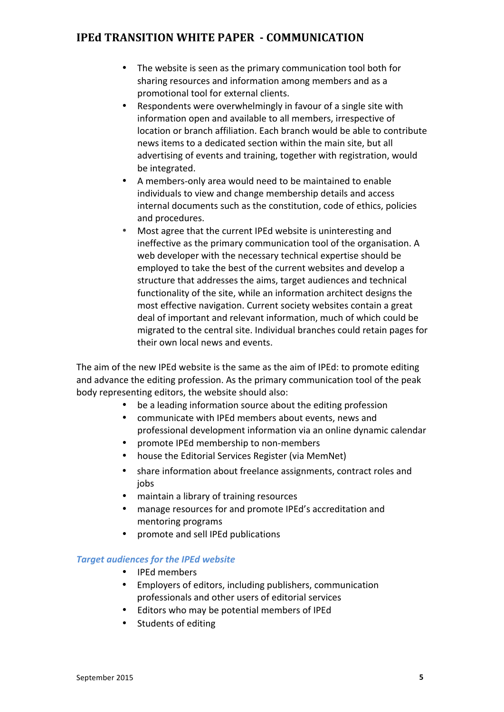- The website is seen as the primary communication tool both for sharing resources and information among members and as a promotional tool for external clients.
- Respondents were overwhelmingly in favour of a single site with information open and available to all members, irrespective of location or branch affiliation. Fach branch would be able to contribute news items to a dedicated section within the main site, but all advertising of events and training, together with registration, would be integrated.
- A members-only area would need to be maintained to enable individuals to view and change membership details and access internal documents such as the constitution, code of ethics, policies and procedures.
- Most agree that the current IPEd website is uninteresting and ineffective as the primary communication tool of the organisation. A web developer with the necessary technical expertise should be employed to take the best of the current websites and develop a structure that addresses the aims, target audiences and technical functionality of the site, while an information architect designs the most effective navigation. Current society websites contain a great deal of important and relevant information, much of which could be migrated to the central site. Individual branches could retain pages for their own local news and events.

The aim of the new IPEd website is the same as the aim of IPEd: to promote editing and advance the editing profession. As the primary communication tool of the peak body representing editors, the website should also:

- be a leading information source about the editing profession
- communicate with IPEd members about events, news and professional development information via an online dynamic calendar
- promote IPEd membership to non-members
- house the Editorial Services Register (via MemNet)
- share information about freelance assignments, contract roles and jobs
- maintain a library of training resources
- manage resources for and promote IPEd's accreditation and mentoring programs
- promote and sell IPEd publications

#### **Target audiences for the IPEd website**

- IPEd members
- Employers of editors, including publishers, communication professionals and other users of editorial services
- Editors who may be potential members of IPEd
- Students of editing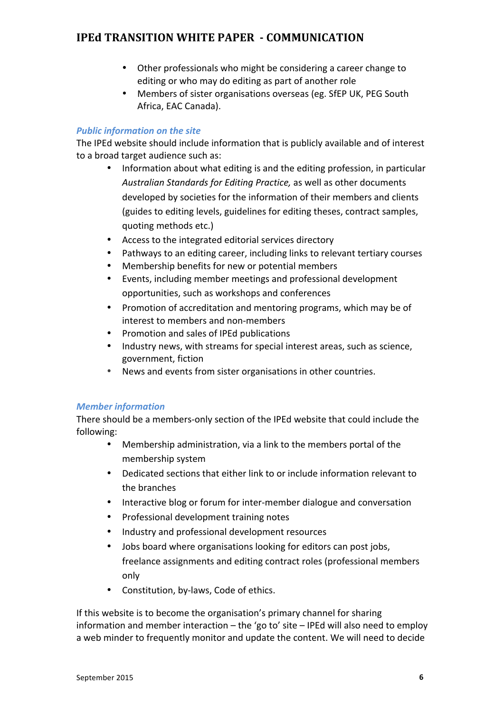- Other professionals who might be considering a career change to editing or who may do editing as part of another role
- Members of sister organisations overseas (eg. SfEP UK, PEG South Africa, EAC Canada).

#### **Public information on the site**

The IPEd website should include information that is publicly available and of interest to a broad target audience such as:

- Information about what editing is and the editing profession, in particular Australian Standards for Editing Practice, as well as other documents developed by societies for the information of their members and clients (guides to editing levels, guidelines for editing theses, contract samples, quoting methods etc.)
- Access to the integrated editorial services directory
- Pathways to an editing career, including links to relevant tertiary courses
- Membership benefits for new or potential members
- Events, including member meetings and professional development opportunities, such as workshops and conferences
- Promotion of accreditation and mentoring programs, which may be of interest to members and non-members
- Promotion and sales of IPEd publications
- Industry news, with streams for special interest areas, such as science, government, fiction
- News and events from sister organisations in other countries.

#### *Member information*

There should be a members-only section of the IPEd website that could include the following:

- Membership administration, via a link to the members portal of the membership system
- Dedicated sections that either link to or include information relevant to the branches
- Interactive blog or forum for inter-member dialogue and conversation
- Professional development training notes
- Industry and professional development resources
- Jobs board where organisations looking for editors can post jobs, freelance assignments and editing contract roles (professional members only
- Constitution, by-laws, Code of ethics.

If this website is to become the organisation's primary channel for sharing information and member interaction  $-$  the 'go to' site  $-$  IPEd will also need to employ a web minder to frequently monitor and update the content. We will need to decide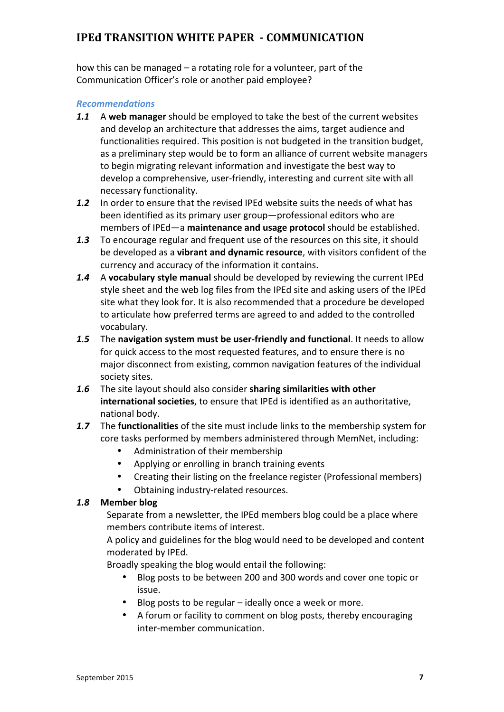how this can be managed  $-$  a rotating role for a volunteer, part of the Communication Officer's role or another paid employee?

#### *Recommendations*

- **1.1** A web manager should be employed to take the best of the current websites and develop an architecture that addresses the aims, target audience and functionalities required. This position is not budgeted in the transition budget, as a preliminary step would be to form an alliance of current website managers to begin migrating relevant information and investigate the best way to develop a comprehensive, user-friendly, interesting and current site with all necessary functionality.
- **1.2** In order to ensure that the revised IPEd website suits the needs of what has been identified as its primary user group—professional editors who are members of IPEd—a **maintenance and usage protocol** should be established.
- **1.3** To encourage regular and frequent use of the resources on this site, it should be developed as a **vibrant and dynamic resource**, with visitors confident of the currency and accuracy of the information it contains.
- **1.4** A vocabulary style manual should be developed by reviewing the current IPEd style sheet and the web log files from the IPEd site and asking users of the IPEd site what they look for. It is also recommended that a procedure be developed to articulate how preferred terms are agreed to and added to the controlled vocabulary.
- **1.5** The navigation system must be user-friendly and functional. It needs to allow for quick access to the most requested features, and to ensure there is no major disconnect from existing, common navigation features of the individual society sites.
- 1.6 The site layout should also consider sharing similarities with other **international societies**, to ensure that IPEd is identified as an authoritative, national body.
- **1.7** The **functionalities** of the site must include links to the membership system for core tasks performed by members administered through MemNet, including:
	- Administration of their membership
	- Applying or enrolling in branch training events
	- Creating their listing on the freelance register (Professional members)
	- Obtaining industry-related resources.

#### *1.8* **Member blog**

Separate from a newsletter, the IPEd members blog could be a place where members contribute items of interest.

A policy and guidelines for the blog would need to be developed and content moderated by IPEd.

Broadly speaking the blog would entail the following:

- Blog posts to be between 200 and 300 words and cover one topic or issue.
- Blog posts to be regular ideally once a week or more.
- A forum or facility to comment on blog posts, thereby encouraging inter-member communication.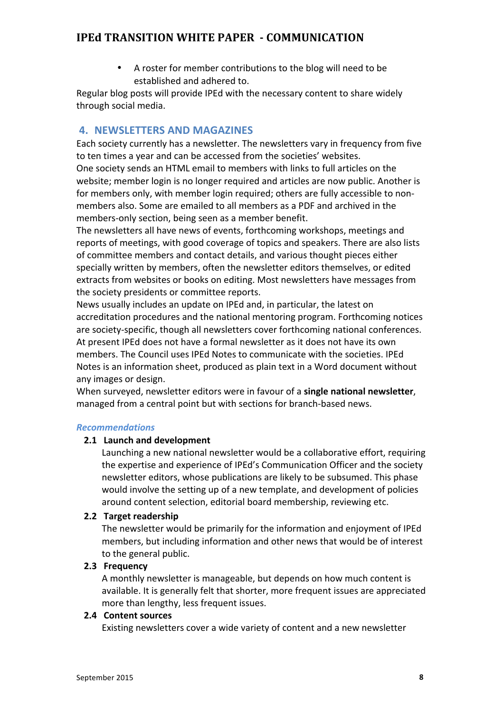• A roster for member contributions to the blog will need to be established and adhered to.

Regular blog posts will provide IPEd with the necessary content to share widely through social media.

## **4. NEWSLETTERS AND MAGAZINES**

Each society currently has a newsletter. The newsletters vary in frequency from five to ten times a vear and can be accessed from the societies' websites.

One society sends an HTML email to members with links to full articles on the website; member login is no longer required and articles are now public. Another is for members only, with member login required; others are fully accessible to nonmembers also. Some are emailed to all members as a PDF and archived in the members-only section, being seen as a member benefit.

The newsletters all have news of events, forthcoming workshops, meetings and reports of meetings, with good coverage of topics and speakers. There are also lists of committee members and contact details, and various thought pieces either specially written by members, often the newsletter editors themselves, or edited extracts from websites or books on editing. Most newsletters have messages from the society presidents or committee reports.

News usually includes an update on IPEd and, in particular, the latest on accreditation procedures and the national mentoring program. Forthcoming notices are society-specific, though all newsletters cover forthcoming national conferences. At present IPEd does not have a formal newsletter as it does not have its own members. The Council uses IPEd Notes to communicate with the societies. IPEd Notes is an information sheet, produced as plain text in a Word document without any images or design.

When surveyed, newsletter editors were in favour of a **single national newsletter**, managed from a central point but with sections for branch-based news.

#### *Recommendations*

#### **2.1 Launch and development**

Launching a new national newsletter would be a collaborative effort, requiring the expertise and experience of IPEd's Communication Officer and the society newsletter editors, whose publications are likely to be subsumed. This phase would involve the setting up of a new template, and development of policies around content selection, editorial board membership, reviewing etc.

#### **2.2 Target readership**

The newsletter would be primarily for the information and enjoyment of IPEd members, but including information and other news that would be of interest to the general public.

#### **2.3 Frequency**

A monthly newsletter is manageable, but depends on how much content is available. It is generally felt that shorter, more frequent issues are appreciated more than lengthy, less frequent issues.

#### **2.4 Content sources**

Existing newsletters cover a wide variety of content and a new newsletter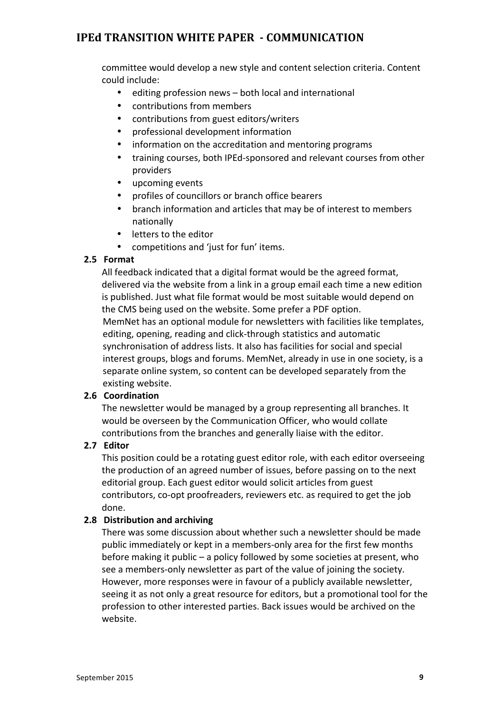committee would develop a new style and content selection criteria. Content could include:

- editing profession news both local and international
- contributions from members
- contributions from guest editors/writers
- professional development information
- information on the accreditation and mentoring programs
- training courses, both IPEd-sponsored and relevant courses from other providers
- upcoming events
- profiles of councillors or branch office bearers
- branch information and articles that may be of interest to members nationally
- letters to the editor
- competitions and 'just for fun' items.

#### **2.5 Format**

All feedback indicated that a digital format would be the agreed format, delivered via the website from a link in a group email each time a new edition is published. Just what file format would be most suitable would depend on the CMS being used on the website. Some prefer a PDF option. MemNet has an optional module for newsletters with facilities like templates, editing, opening, reading and click-through statistics and automatic synchronisation of address lists. It also has facilities for social and special interest groups, blogs and forums. MemNet, already in use in one society, is a separate online system, so content can be developed separately from the existing website.

#### **2.6 Coordination**

The newsletter would be managed by a group representing all branches. It would be overseen by the Communication Officer, who would collate contributions from the branches and generally liaise with the editor.

#### **2.7 Editor**

This position could be a rotating guest editor role, with each editor overseeing the production of an agreed number of issues, before passing on to the next editorial group. Each guest editor would solicit articles from guest contributors, co-opt proofreaders, reviewers etc. as required to get the job done.

#### **2.8 Distribution and archiving**

There was some discussion about whether such a newsletter should be made public immediately or kept in a members-only area for the first few months before making it public  $-$  a policy followed by some societies at present, who see a members-only newsletter as part of the value of joining the society. However, more responses were in favour of a publicly available newsletter, seeing it as not only a great resource for editors, but a promotional tool for the profession to other interested parties. Back issues would be archived on the website.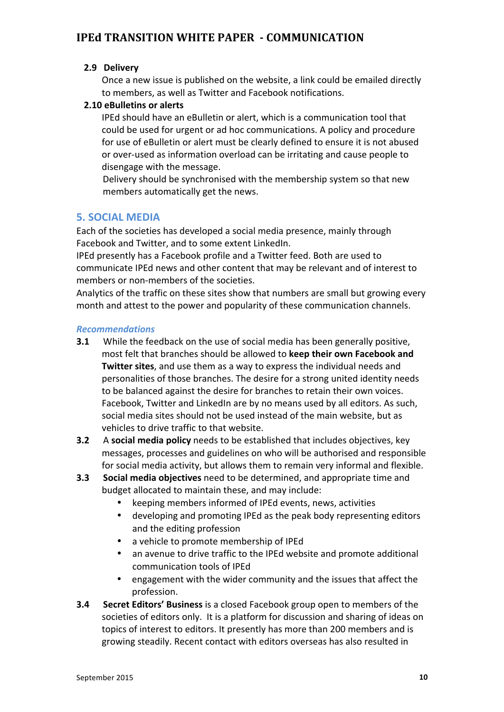#### **2.9 Delivery**

Once a new issue is published on the website, a link could be emailed directly to members, as well as Twitter and Facebook notifications.

#### **2.10 eBulletins or alerts**

IPEd should have an eBulletin or alert, which is a communication tool that could be used for urgent or ad hoc communications. A policy and procedure for use of eBulletin or alert must be clearly defined to ensure it is not abused or over-used as information overload can be irritating and cause people to disengage with the message.

Delivery should be synchronised with the membership system so that new members automatically get the news.

## **5. SOCIAL MEDIA**

Each of the societies has developed a social media presence, mainly through Facebook and Twitter, and to some extent LinkedIn.

IPEd presently has a Facebook profile and a Twitter feed. Both are used to communicate IPEd news and other content that may be relevant and of interest to members or non-members of the societies.

Analytics of the traffic on these sites show that numbers are small but growing every month and attest to the power and popularity of these communication channels.

#### *Recommendations*

- **3.1** While the feedback on the use of social media has been generally positive, most felt that branches should be allowed to **keep their own Facebook and Twitter sites**, and use them as a way to express the individual needs and personalities of those branches. The desire for a strong united identity needs to be balanced against the desire for branches to retain their own voices. Facebook, Twitter and LinkedIn are by no means used by all editors. As such, social media sites should not be used instead of the main website, but as vehicles to drive traffic to that website.
- **3.2** A **social media policy** needs to be established that includes objectives, key messages, processes and guidelines on who will be authorised and responsible for social media activity, but allows them to remain very informal and flexible.
- **3.3** Social media objectives need to be determined, and appropriate time and budget allocated to maintain these, and may include:
	- keeping members informed of IPEd events, news, activities
	- developing and promoting IPEd as the peak body representing editors and the editing profession
	- a vehicle to promote membership of IPEd
	- an avenue to drive traffic to the IPEd website and promote additional communication tools of IPEd
	- engagement with the wider community and the issues that affect the profession.
- **3.4** Secret Editors' Business is a closed Facebook group open to members of the societies of editors only. It is a platform for discussion and sharing of ideas on topics of interest to editors. It presently has more than 200 members and is growing steadily. Recent contact with editors overseas has also resulted in